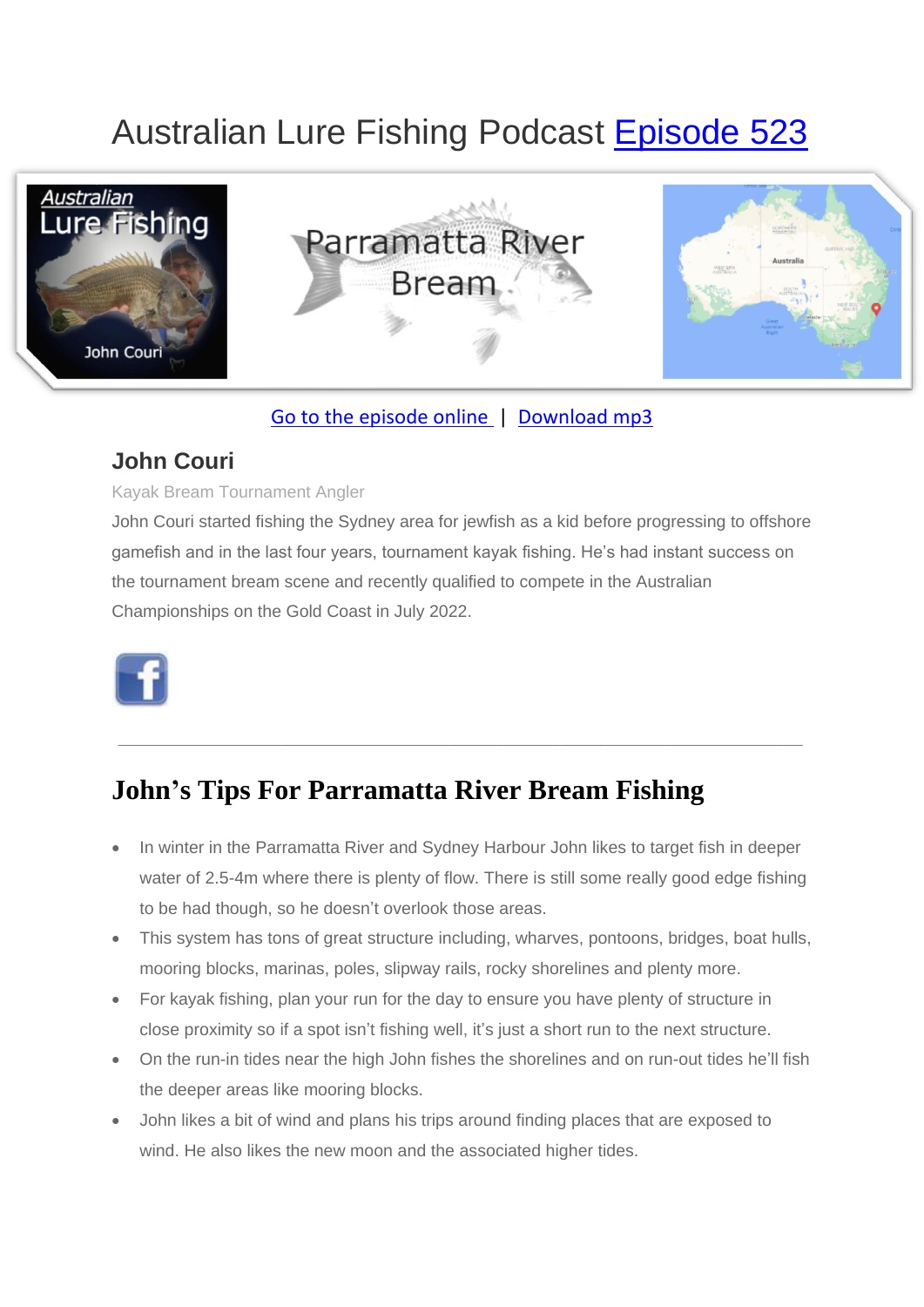# Australian Lure Fishing Podcast [Episode 523](https://doclures.com/parramatta-river-bream-john-couri/)



### [Go to the episode online](https://doclures.com/parramatta-river-bream-john-couri/) | [Download mp3](https://traffic.libsyn.com/doclures/514-port-hacking-bream-adam-costa.mp3)

### **John Couri**

#### Kayak Bream Tournament Angler

John Couri started fishing the Sydney area for jewfish as a kid before progressing to offshore gamefish and in the last four years, tournament kayak fishing. He's had instant success on the tournament bream scene and recently qualified to compete in the Australian Championships on the Gold Coast in July 2022.



# **John's Tips For Parramatta River Bream Fishing**

• In winter in the Parramatta River and Sydney Harbour John likes to target fish in deeper water of 2.5-4m where there is plenty of flow. There is still some really good edge fishing to be had though, so he doesn't overlook those areas.

**\_\_\_\_\_\_\_\_\_\_\_\_\_\_\_\_\_\_\_\_\_\_\_\_\_\_\_\_\_\_\_\_\_\_\_\_\_\_\_\_\_\_\_\_\_\_\_\_\_\_\_\_\_\_\_\_\_\_\_\_\_**

- This system has tons of great structure including, wharves, pontoons, bridges, boat hulls, mooring blocks, marinas, poles, slipway rails, rocky shorelines and plenty more.
- For kayak fishing, plan your run for the day to ensure you have plenty of structure in close proximity so if a spot isn't fishing well, it's just a short run to the next structure.
- On the run-in tides near the high John fishes the shorelines and on run-out tides he'll fish the deeper areas like mooring blocks.
- John likes a bit of wind and plans his trips around finding places that are exposed to wind. He also likes the new moon and the associated higher tides.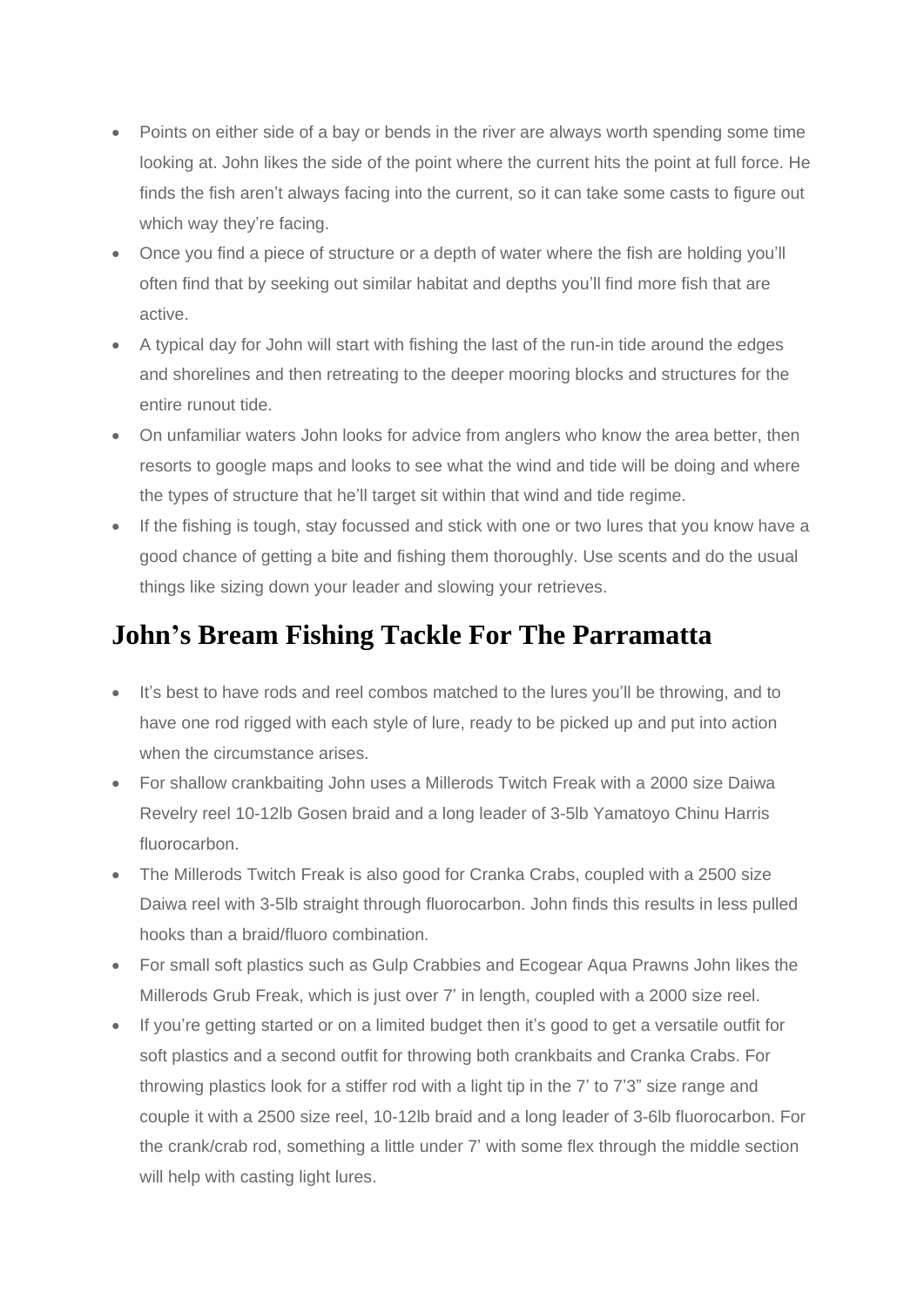- Points on either side of a bay or bends in the river are always worth spending some time looking at. John likes the side of the point where the current hits the point at full force. He finds the fish aren't always facing into the current, so it can take some casts to figure out which way they're facing.
- Once you find a piece of structure or a depth of water where the fish are holding you'll often find that by seeking out similar habitat and depths you'll find more fish that are active.
- A typical day for John will start with fishing the last of the run-in tide around the edges and shorelines and then retreating to the deeper mooring blocks and structures for the entire runout tide.
- On unfamiliar waters John looks for advice from anglers who know the area better, then resorts to google maps and looks to see what the wind and tide will be doing and where the types of structure that he'll target sit within that wind and tide regime.
- If the fishing is tough, stay focussed and stick with one or two lures that you know have a good chance of getting a bite and fishing them thoroughly. Use scents and do the usual things like sizing down your leader and slowing your retrieves.

## **John's Bream Fishing Tackle For The Parramatta**

- It's best to have rods and reel combos matched to the lures you'll be throwing, and to have one rod rigged with each style of lure, ready to be picked up and put into action when the circumstance arises.
- For shallow crankbaiting John uses a Millerods Twitch Freak with a 2000 size Daiwa Revelry reel 10-12lb Gosen braid and a long leader of 3-5lb Yamatoyo Chinu Harris fluorocarbon.
- The Millerods Twitch Freak is also good for Cranka Crabs, coupled with a 2500 size Daiwa reel with 3-5lb straight through fluorocarbon. John finds this results in less pulled hooks than a braid/fluoro combination.
- For small soft plastics such as Gulp Crabbies and Ecogear Aqua Prawns John likes the Millerods Grub Freak, which is just over 7' in length, coupled with a 2000 size reel.
- If you're getting started or on a limited budget then it's good to get a versatile outfit for soft plastics and a second outfit for throwing both crankbaits and Cranka Crabs. For throwing plastics look for a stiffer rod with a light tip in the 7' to 7'3" size range and couple it with a 2500 size reel, 10-12lb braid and a long leader of 3-6lb fluorocarbon. For the crank/crab rod, something a little under 7' with some flex through the middle section will help with casting light lures.